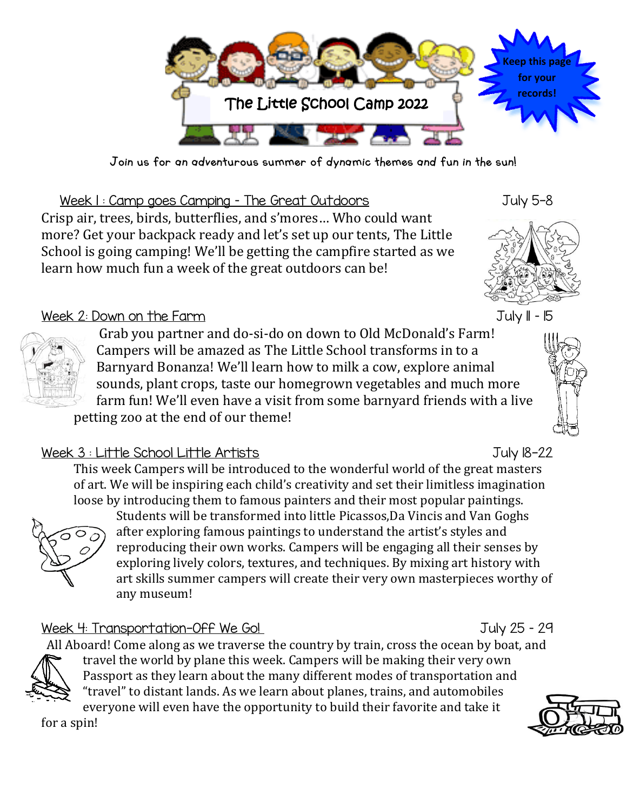

Join us for an adventurous summer of dynamic themes and fun in the sun!

Week I: Camp goes Camping - The Great Outdoors Tuly 5-8 Crisp air, trees, birds, butterflies, and s'mores… Who could want more? Get your backpack ready and let's set up our tents, The Little School is going camping! We'll be getting the campfire started as we learn how much fun a week of the great outdoors can be!



## Week 2: Down on the Farm July 11 – 15

Grab you partner and do-si-do on down to Old McDonald's Farm! Campers will be amazed as The Little School transforms in to a Barnyard Bonanza! We'll learn how to milk a cow, explore animal sounds, plant crops, taste our homegrown vegetables and much more farm fun! We'll even have a visit from some barnyard friends with a live petting zoo at the end of our theme!

## Week 3 : Little School Little Artists July 18-22

This week Campers will be introduced to the wonderful world of the great masters of art. We will be inspiring each child's creativity and set their limitless imagination loose by introducing them to famous painters and their most popular paintings.



Students will be transformed into little Picassos,Da Vincis and Van Goghs after exploring famous paintings to understand the artist's styles and reproducing their own works. Campers will be engaging all their senses by exploring lively colors, textures, and techniques. By mixing art history with art skills summer campers will create their very own masterpieces worthy of any museum!

## Week 4: Transportation-Off We Go! July 25 - 29

All Aboard! Come along as we traverse the country by train, cross the ocean by boat, and



travel the world by plane this week. Campers will be making their very own Passport as they learn about the many different modes of transportation and "travel" to distant lands. As we learn about planes, trains, and automobiles everyone will even have the opportunity to build their favorite and take it

for a spin!

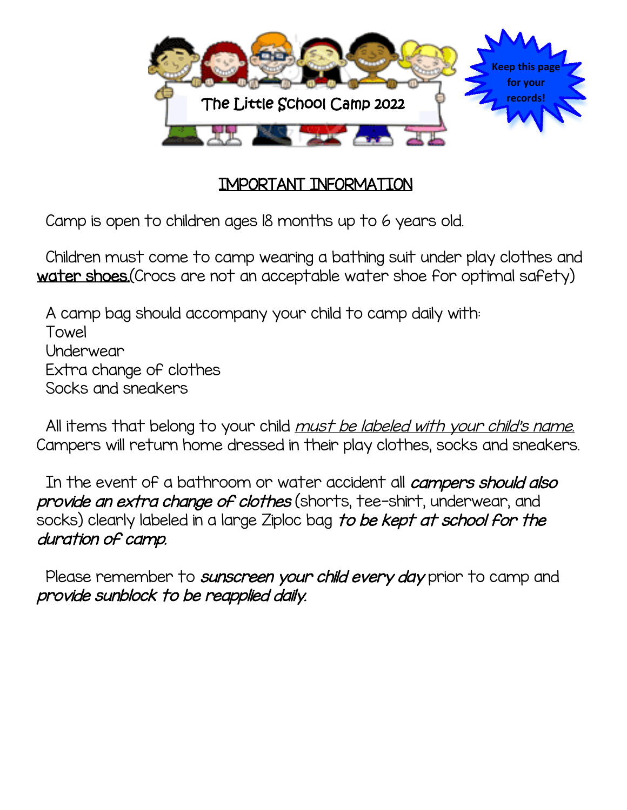

## IMPORTANT INFORMATION

Camp is open to children ages 18 months up to 6 years old.

Children must come to camp wearing a bathing suit under play clothes and water shoes. (Crocs are not an acceptable water shoe for optimal safety)

A camp bag should accompany your child to camp daily with: Towel Underwear Extra change of clothes Socks and sneakers

All items that belong to your child *must be labeled with your child's name.* Campers will return home dressed in their play clothes, socks and sneakers.

In the event of a bathroom or water accident all *campers should also* provide an extra change of clothes (shorts, tee-shirt, underwear, and socks) clearly labeled in a large Ziploc bag to be kept at school for the duration of camp.

Please remember to sunscreen your child every day prior to camp and provide sunblock to be reapplied daily.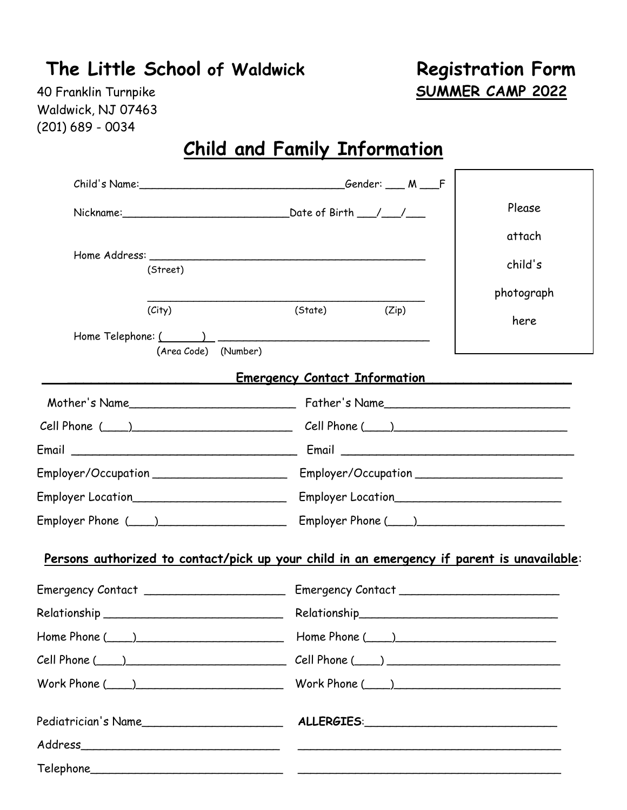# **The Little School of Waldwick Registration Form**

40 Franklin Turnpike **SUMMER CAMP 2022**

Waldwick, NJ 07463 (201) 689 - 0034

# **Child and Family Information**

|                      |                                                                                            | Please                  |  |  |  |
|----------------------|--------------------------------------------------------------------------------------------|-------------------------|--|--|--|
|                      |                                                                                            | attach                  |  |  |  |
|                      |                                                                                            | child's                 |  |  |  |
| (Street)             |                                                                                            |                         |  |  |  |
| (City)               | (State)<br>(Zip)                                                                           | photograph              |  |  |  |
|                      |                                                                                            | here                    |  |  |  |
| (Area Code) (Number) |                                                                                            |                         |  |  |  |
|                      | Emergency Contact Information                                                              |                         |  |  |  |
|                      | Mother's Name Father's Name                                                                |                         |  |  |  |
|                      |                                                                                            | $Cell$ Phone $(\_\_\_)$ |  |  |  |
|                      |                                                                                            |                         |  |  |  |
|                      |                                                                                            |                         |  |  |  |
|                      |                                                                                            |                         |  |  |  |
|                      | Employer Phone (1) Employer Phone (2)                                                      |                         |  |  |  |
|                      | Persons authorized to contact/pick up your child in an emergency if parent is unavailable: |                         |  |  |  |
|                      |                                                                                            |                         |  |  |  |
|                      |                                                                                            |                         |  |  |  |
| $Home Phone (\_\_ )$ |                                                                                            |                         |  |  |  |
|                      | $Cell$ Phone $(\_\_\_)$                                                                    |                         |  |  |  |
|                      | Work Phone $(\_\_\)$                                                                       |                         |  |  |  |
|                      |                                                                                            |                         |  |  |  |
|                      |                                                                                            |                         |  |  |  |
|                      |                                                                                            |                         |  |  |  |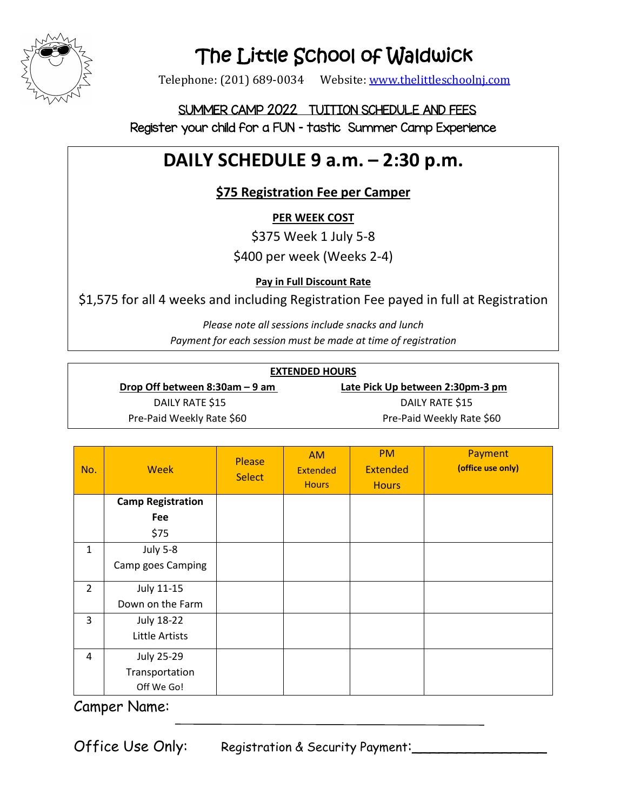

# The Little School of Waldwick

Telephone: (201) 689-0034 Website: [www.thelittleschoolnj.com](http://www.thelittleschoolnj.com/)

## SUMMER CAMP 2022 TUITION SCHEDULE AND FEES Register your child for a FUN – tastic Summer Camp Experience

# **DAILY SCHEDULE 9 a.m. – 2:30 p.m.**

## **\$75 Registration Fee per Camper**

**PER WEEK COST**

\$375 Week 1 July 5-8

\$400 per week (Weeks 2-4)

**Pay in Full Discount Rate**

\$1,575 for all 4 weeks and including Registration Fee payed in full at Registration

*Please note all sessions include snacks and lunch Payment for each session must be made at time of registration*

| <b>EXTENDED HOURS</b>             |                                  |  |  |  |
|-----------------------------------|----------------------------------|--|--|--|
| Drop Off between $8:30$ am – 9 am | Late Pick Up between 2:30pm-3 pm |  |  |  |
| DAILY RATE \$15                   | DAILY RATE \$15                  |  |  |  |
| Pre-Paid Weekly Rate \$60         | Pre-Paid Weekly Rate \$60        |  |  |  |

| No.            | <b>Week</b>              | <b>Please</b><br><b>Select</b> | <b>AM</b><br><b>Extended</b><br><b>Hours</b> | <b>PM</b><br><b>Extended</b><br><b>Hours</b> | Payment<br>(office use only) |
|----------------|--------------------------|--------------------------------|----------------------------------------------|----------------------------------------------|------------------------------|
|                | <b>Camp Registration</b> |                                |                                              |                                              |                              |
|                | Fee                      |                                |                                              |                                              |                              |
|                | \$75                     |                                |                                              |                                              |                              |
| $\mathbf{1}$   | <b>July 5-8</b>          |                                |                                              |                                              |                              |
|                | Camp goes Camping        |                                |                                              |                                              |                              |
| $\overline{2}$ | July 11-15               |                                |                                              |                                              |                              |
|                | Down on the Farm         |                                |                                              |                                              |                              |
| 3              | <b>July 18-22</b>        |                                |                                              |                                              |                              |
|                | <b>Little Artists</b>    |                                |                                              |                                              |                              |
| 4              | <b>July 25-29</b>        |                                |                                              |                                              |                              |
|                | Transportation           |                                |                                              |                                              |                              |
|                | Off We Go!               |                                |                                              |                                              |                              |

Camper Name:

Office Use Only: Registration & Security Payment: